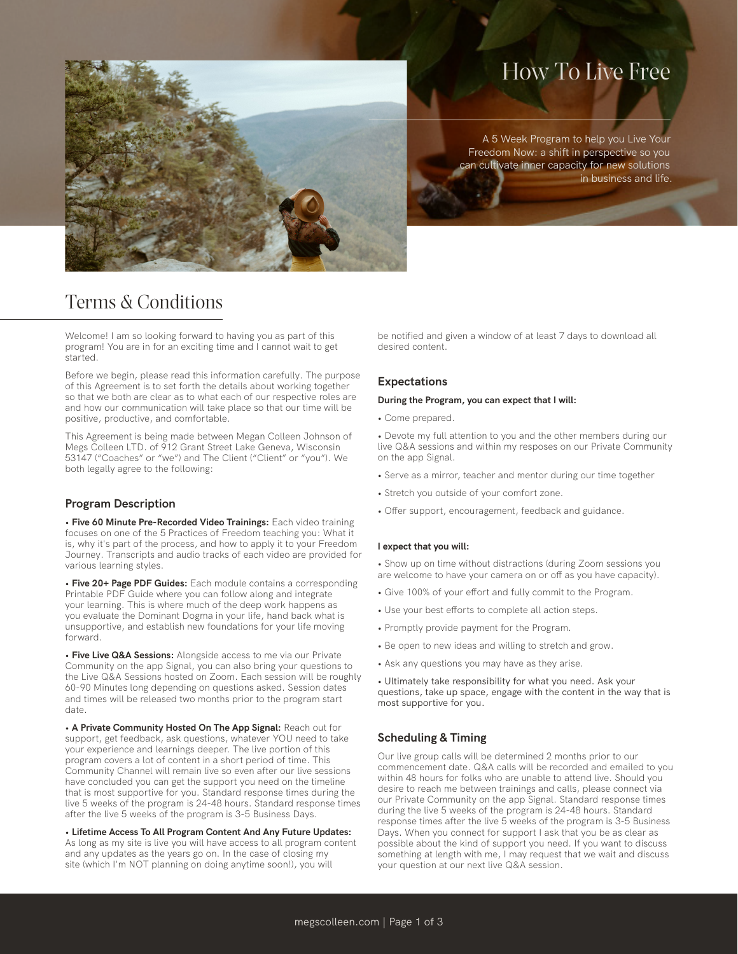# How To Live Free

A 5 Week Program to help you Live Your Freedom Now: a shift in perspective so you can cultivate inner capacity for new solutions in business and life.

# Terms & Conditions

Welcome! I am so looking forward to having you as part of this program! You are in for an exciting time and I cannot wait to get started.

Before we begin, please read this information carefully. The purpose of this Agreement is to set forth the details about working together so that we both are clear as to what each of our respective roles are and how our communication will take place so that our time will be positive, productive, and comfortable.

This Agreement is being made between Megan Colleen Johnson of Megs Colleen LTD. of 912 Grant Street Lake Geneva, Wisconsin 53147 ("Coaches" or "we") and The Client ("Client" or "you"). We both legally agree to the following:

# **Program Description**

• **Five 60 Minute Pre-Recorded Video Trainings:** Each video training focuses on one of the 5 Practices of Freedom teaching you: What it is, why it's part of the process, and how to apply it to your Freedom Journey. Transcripts and audio tracks of each video are provided for various learning styles.

• **Five 20+ Page PDF Guides:** Each module contains a corresponding Printable PDF Guide where you can follow along and integrate your learning. This is where much of the deep work happens as you evaluate the Dominant Dogma in your life, hand back what is unsupportive, and establish new foundations for your life moving forward.

• **Five Live Q&A Sessions:** Alongside access to me via our Private Community on the app Signal, you can also bring your questions to the Live Q&A Sessions hosted on Zoom. Each session will be roughly 60-90 Minutes long depending on questions asked. Session dates and times will be released two months prior to the program start date.

• **A Private Community Hosted On The App Signal:** Reach out for support, get feedback, ask questions, whatever YOU need to take your experience and learnings deeper. The live portion of this program covers a lot of content in a short period of time. This Community Channel will remain live so even after our live sessions have concluded you can get the support you need on the timeline that is most supportive for you. Standard response times during the live 5 weeks of the program is 24-48 hours. Standard response times after the live 5 weeks of the program is 3-5 Business Days.

• **Lifetime Access To All Program Content And Any Future Updates:** As long as my site is live you will have access to all program content and any updates as the years go on. In the case of closing my site (which I'm NOT planning on doing anytime soon!), you will

be notified and given a window of at least 7 days to download all desired content.

## **Expectations**

#### **During the Program, you can expect that I will:**

• Come prepared.

• Devote my full attention to you and the other members during our live Q&A sessions and within my resposes on our Private Community on the app Signal.

- Serve as a mirror, teacher and mentor during our time together
- Stretch you outside of your comfort zone.
- Offer support, encouragement, feedback and guidance.

#### **I expect that you will:**

• Show up on time without distractions (during Zoom sessions you are welcome to have your camera on or off as you have capacity).

- Give 100% of your effort and fully commit to the Program.
- Use your best efforts to complete all action steps.
- Promptly provide payment for the Program.
- Be open to new ideas and willing to stretch and grow.
- Ask any questions you may have as they arise.

• Ultimately take responsibility for what you need. Ask your questions, take up space, engage with the content in the way that is most supportive for you.

#### **Scheduling & Timing**

Our live group calls will be determined 2 months prior to our commencement date. Q&A calls will be recorded and emailed to you within 48 hours for folks who are unable to attend live. Should you desire to reach me between trainings and calls, please connect via our Private Community on the app Signal. Standard response times during the live 5 weeks of the program is 24-48 hours. Standard response times after the live 5 weeks of the program is 3-5 Business Days. When you connect for support I ask that you be as clear as possible about the kind of support you need. If you want to discuss something at length with me, I may request that we wait and discuss your question at our next live Q&A session.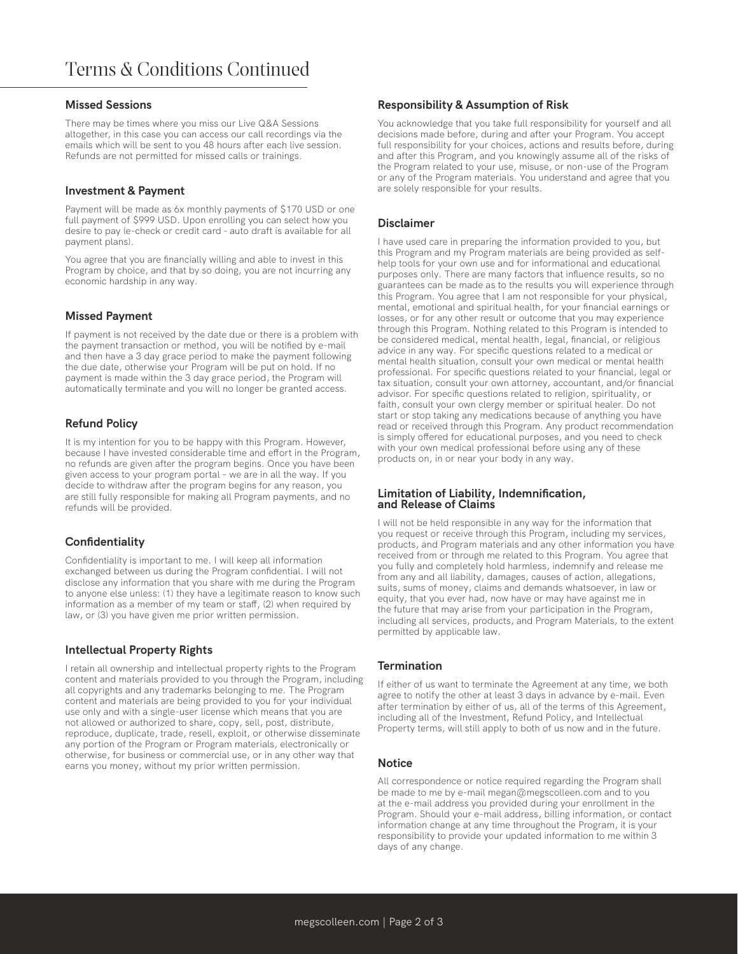#### **Missed Sessions**

There may be times where you miss our Live Q&A Sessions altogether, in this case you can access our call recordings via the emails which will be sent to you 48 hours after each live session. Refunds are not permitted for missed calls or trainings.

#### **Investment & Payment**

Payment will be made as 6x monthly payments of \$170 USD or one full payment of \$999 USD. Upon enrolling you can select how you desire to pay (e-check or credit card - auto draft is available for all payment plans).

You agree that you are financially willing and able to invest in this Program by choice, and that by so doing, you are not incurring any economic hardship in any way.

#### **Missed Payment**

If payment is not received by the date due or there is a problem with the payment transaction or method, you will be notified by e-mail and then have a 3 day grace period to make the payment following the due date, otherwise your Program will be put on hold. If no payment is made within the 3 day grace period, the Program will automatically terminate and you will no longer be granted access.

## **Refund Policy**

It is my intention for you to be happy with this Program. However, because I have invested considerable time and effort in the Program, no refunds are given after the program begins. Once you have been given access to your program portal – we are in all the way. If you decide to withdraw after the program begins for any reason, you are still fully responsible for making all Program payments, and no refunds will be provided.

#### **Confidentiality**

Confidentiality is important to me. I will keep all information exchanged between us during the Program confidential. I will not disclose any information that you share with me during the Program to anyone else unless: (1) they have a legitimate reason to know such information as a member of my team or staff, (2) when required by law, or (3) you have given me prior written permission.

#### **Intellectual Property Rights**

I retain all ownership and intellectual property rights to the Program content and materials provided to you through the Program, including all copyrights and any trademarks belonging to me. The Program content and materials are being provided to you for your individual use only and with a single-user license which means that you are not allowed or authorized to share, copy, sell, post, distribute, reproduce, duplicate, trade, resell, exploit, or otherwise disseminate any portion of the Program or Program materials, electronically or otherwise, for business or commercial use, or in any other way that earns you money, without my prior written permission.

#### **Responsibility & Assumption of Risk**

You acknowledge that you take full responsibility for yourself and all decisions made before, during and after your Program. You accept full responsibility for your choices, actions and results before, during and after this Program, and you knowingly assume all of the risks of the Program related to your use, misuse, or non-use of the Program or any of the Program materials. You understand and agree that you are solely responsible for your results.

#### **Disclaimer**

I have used care in preparing the information provided to you, but this Program and my Program materials are being provided as selfhelp tools for your own use and for informational and educational purposes only. There are many factors that influence results, so no guarantees can be made as to the results you will experience through this Program. You agree that I am not responsible for your physical, mental, emotional and spiritual health, for your financial earnings or losses, or for any other result or outcome that you may experience through this Program. Nothing related to this Program is intended to be considered medical, mental health, legal, financial, or religious advice in any way. For specific questions related to a medical or mental health situation, consult your own medical or mental health professional. For specific questions related to your financial, legal or tax situation, consult your own attorney, accountant, and/or financial advisor. For specific questions related to religion, spirituality, or faith, consult your own clergy member or spiritual healer. Do not start or stop taking any medications because of anything you have read or received through this Program. Any product recommendation is simply offered for educational purposes, and you need to check with your own medical professional before using any of these products on, in or near your body in any way.

#### **Limitation of Liability, Indemnification, and Release of Claims**

I will not be held responsible in any way for the information that you request or receive through this Program, including my services, products, and Program materials and any other information you have received from or through me related to this Program. You agree that you fully and completely hold harmless, indemnify and release me from any and all liability, damages, causes of action, allegations, suits, sums of money, claims and demands whatsoever, in law or equity, that you ever had, now have or may have against me in the future that may arise from your participation in the Program, including all services, products, and Program Materials, to the extent permitted by applicable law.

#### **Termination**

If either of us want to terminate the Agreement at any time, we both agree to notify the other at least 3 days in advance by e-mail. Even after termination by either of us, all of the terms of this Agreement, including all of the Investment, Refund Policy, and Intellectual Property terms, will still apply to both of us now and in the future.

#### **Notice**

All correspondence or notice required regarding the Program shall be made to me by e-mail megan@megscolleen.com and to you at the e-mail address you provided during your enrollment in the Program. Should your e-mail address, billing information, or contact information change at any time throughout the Program, it is your responsibility to provide your updated information to me within 3 days of any change.